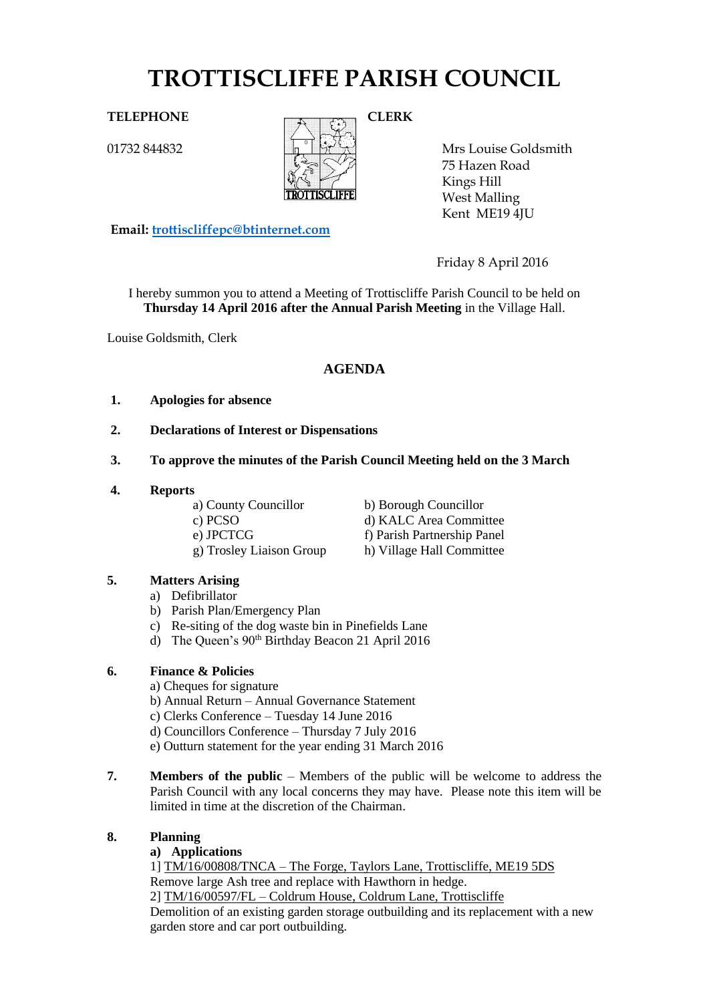# **TROTTISCLIFFE PARISH COUNCIL**

01732 844832



Mrs Louise Goldsmith 75 Hazen Road Kings Hill West Malling Kent ME19 4JU

**Email: [trottiscliffepc@btinternet.com](mailto:trottiscliffepc@btinternet.com)**

Friday 8 April 2016

I hereby summon you to attend a Meeting of Trottiscliffe Parish Council to be held on **Thursday 14 April 2016 after the Annual Parish Meeting** in the Village Hall.

Louise Goldsmith, Clerk

# **AGENDA**

- **1. Apologies for absence**
- **2. Declarations of Interest or Dispensations**
- **3. To approve the minutes of the Parish Council Meeting held on the 3 March**
- **4. Reports**

a) County Councillor b) Borough Councillor c) PCSO d) KALC Area Committee

e) JPCTCG f) Parish Partnership Panel g) Trosley Liaison Group h) Village Hall Committee

# **5. Matters Arising**

- a) Defibrillator
- b) Parish Plan/Emergency Plan
- c) Re-siting of the dog waste bin in Pinefields Lane
- d) The Queen's 90<sup>th</sup> Birthday Beacon 21 April 2016

# **6. Finance & Policies**

- a) Cheques for signature
- b) Annual Return Annual Governance Statement
- c) Clerks Conference Tuesday 14 June 2016
- d) Councillors Conference Thursday 7 July 2016
- e) Outturn statement for the year ending 31 March 2016
- **7. Members of the public** Members of the public will be welcome to address the Parish Council with any local concerns they may have. Please note this item will be limited in time at the discretion of the Chairman.

# **8. Planning**

# **a) Applications**

1] TM/16/00808/TNCA – The Forge, Taylors Lane, Trottiscliffe, ME19 5DS Remove large Ash tree and replace with Hawthorn in hedge.

2] TM/16/00597/FL – Coldrum House, Coldrum Lane, Trottiscliffe Demolition of an existing garden storage outbuilding and its replacement with a new garden store and car port outbuilding.